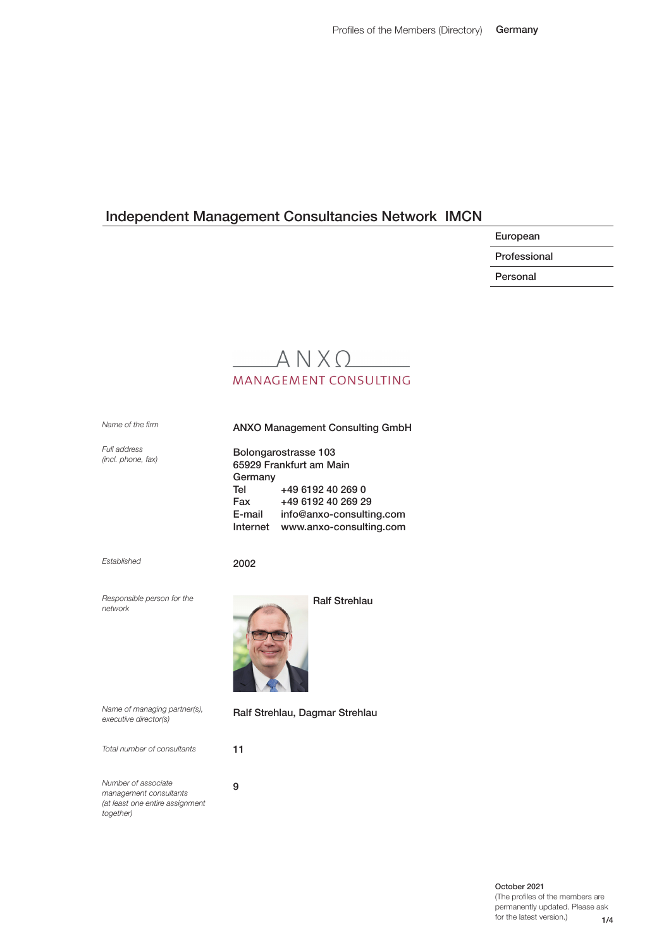European

Professional

Personal

# $A N X Q$ **MANAGEMENT CONSULTING**

*Name of the frm*

ANXO Management Consulting GmbH

*Full address (incl. phone, fax)*

Bolongarostrasse 103 65929 Frankfurt am Main Germany Tel +49 6192 40 269 0 Fax +49 6192 40 269 29 E-mail info@anxo-consulting.com Internet www.anxo-consulting.com

*Established*

2002

*Responsible person for the network*



*Name of managing partner(s), executive director(s)*

*Total number of consultants*

9 *Number of associate management consultants (at least one entire assignment together)*

Ralf Strehlau, Dagmar Strehlau

11

1/4 October 2021 (The profles of the members are permanently updated. Please ask for the latest version.)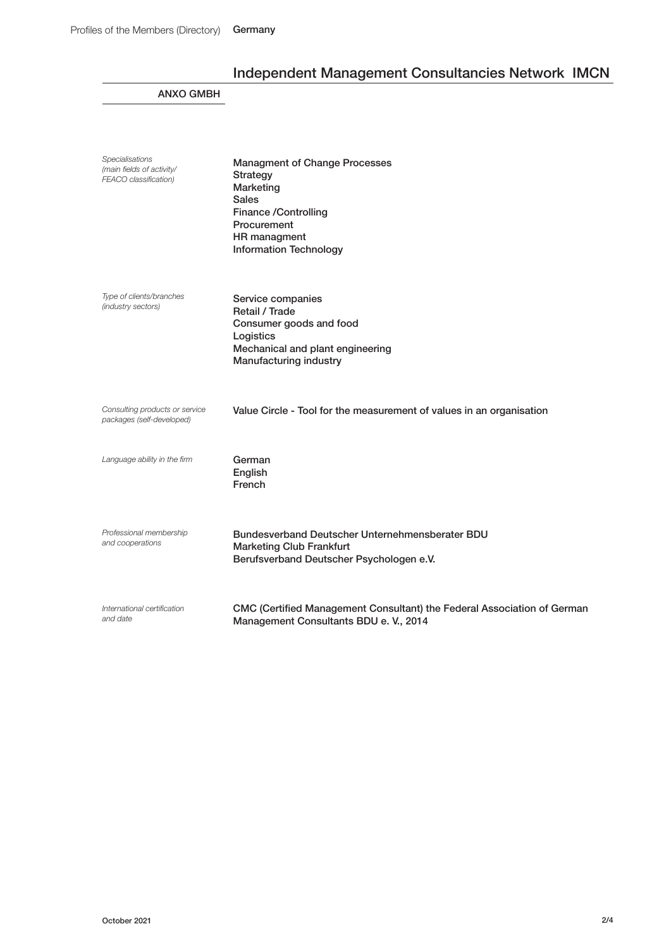## ANXO GMBH

| <b>Specialisations</b><br>(main fields of activity/<br><b>FEACO</b> classification) | <b>Managment of Change Processes</b><br><b>Strategy</b><br>Marketing<br><b>Sales</b><br><b>Finance /Controlling</b><br>Procurement<br>HR managment<br><b>Information Technology</b> |
|-------------------------------------------------------------------------------------|-------------------------------------------------------------------------------------------------------------------------------------------------------------------------------------|
| Type of clients/branches<br>(industry sectors)                                      | Service companies<br>Retail / Trade<br>Consumer goods and food<br>Logistics<br>Mechanical and plant engineering<br>Manufacturing industry                                           |
| Consulting products or service<br>packages (self-developed)                         | Value Circle - Tool for the measurement of values in an organisation                                                                                                                |
| Language ability in the firm                                                        | German<br>English<br>French                                                                                                                                                         |
| Professional membership<br>and cooperations                                         | Bundesverband Deutscher Unternehmensberater BDU<br><b>Marketing Club Frankfurt</b><br>Berufsverband Deutscher Psychologen e.V.                                                      |
| International certification<br>and date                                             | CMC (Certified Management Consultant) the Federal Association of German<br>Management Consultants BDU e. V., 2014                                                                   |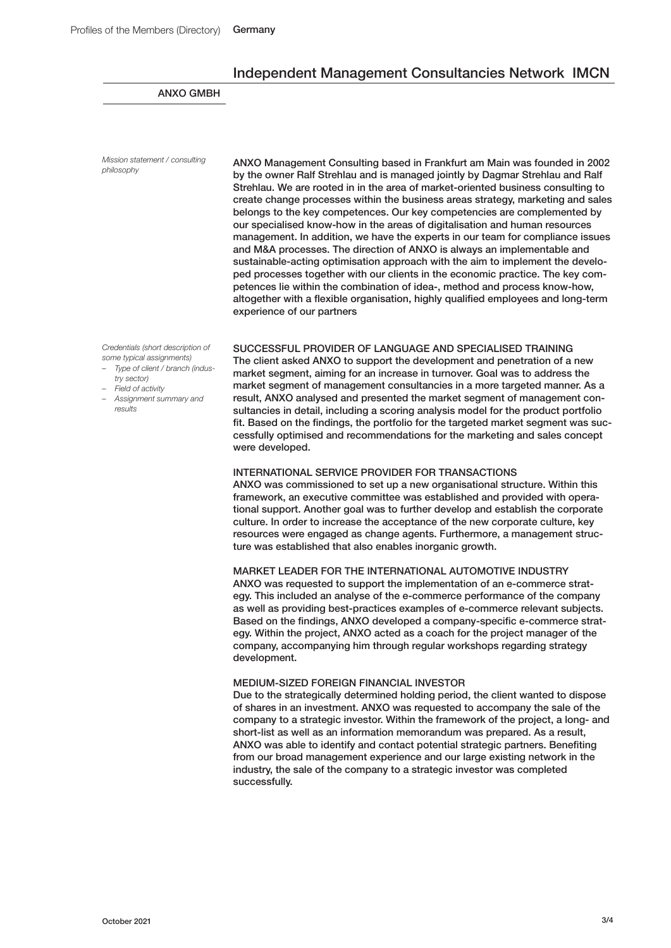### ANXO GMBH

*Mission statement / consulting philosophy*

 ANXO Management Consulting based in Frankfurt am Main was founded in 2002 by the owner Ralf Strehlau and is managed jointly by Dagmar Strehlau and Ralf Strehlau. We are rooted in in the area of market-oriented business consulting to create change processes within the business areas strategy, marketing and sales belongs to the key competences. Our key competencies are complemented by our specialised know-how in the areas of digitalisation and human resources management. In addition, we have the experts in our team for compliance issues and M&A processes. The direction of ANXO is always an implementable and sustainable-acting optimisation approach with the aim to implement the developed processes together with our clients in the economic practice. The key competences lie within the combination of idea-, method and process know-how, altogether with a fexible organisation, highly qualifed employees and long-term experience of our partners

*Credentials (short description of some typical assignments)*

- *– Type of client / branch (industry sector)*
- *– Field of activity*
- *– Assignment summary and results*

SUCCESSFUL PROVIDER OF LANGUAGE AND SPECIALISED TRAINING The client asked ANXO to support the development and penetration of a new market segment, aiming for an increase in turnover. Goal was to address the market segment of management consultancies in a more targeted manner. As a result, ANXO analysed and presented the market segment of management consultancies in detail, including a scoring analysis model for the product portfolio fit. Based on the findings, the portfolio for the targeted market segment was successfully optimised and recommendations for the marketing and sales concept were developed.

#### INTERNATIONAL SERVICE PROVIDER FOR TRANSACTIONS

ANXO was commissioned to set up a new organisational structure. Within this framework, an executive committee was established and provided with operational support. Another goal was to further develop and establish the corporate culture. In order to increase the acceptance of the new corporate culture, key resources were engaged as change agents. Furthermore, a management structure was established that also enables inorganic growth.

#### MARKET LEADER FOR THE INTERNATIONAL AUTOMOTIVE INDUSTRY

ANXO was requested to support the implementation of an e-commerce strategy. This included an analyse of the e-commerce performance of the company as well as providing best-practices examples of e-commerce relevant subjects. Based on the findings, ANXO developed a company-specific e-commerce strategy. Within the project, ANXO acted as a coach for the project manager of the company, accompanying him through regular workshops regarding strategy development.

#### MEDIUM-SIZED FOREIGN FINANCIAL INVESTOR

Due to the strategically determined holding period, the client wanted to dispose of shares in an investment. ANXO was requested to accompany the sale of the company to a strategic investor. Within the framework of the project, a long- and short-list as well as an information memorandum was prepared. As a result, ANXO was able to identify and contact potential strategic partners. Benefting from our broad management experience and our large existing network in the industry, the sale of the company to a strategic investor was completed successfully.